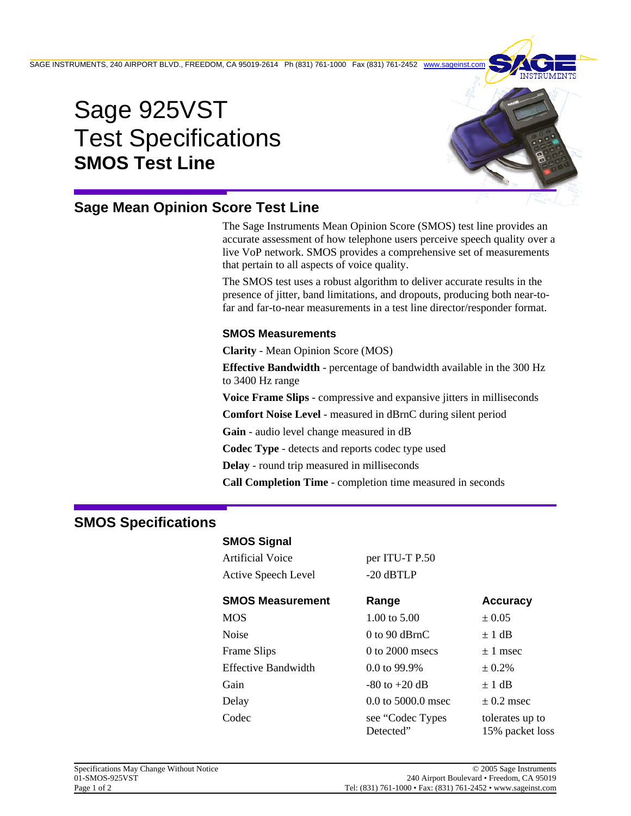SAGE INSTRUMENTS, 240 AIRPORT BLVD., FREEDOM, CA 95019-2614 Ph (831) 761-1000 Fax (831) 761-2452 www.

# Sage 925VST Test Specifications **SMOS Test Line**



# **Sage Mean Opinion Score Test Line**

The Sage Instruments Mean Opinion Score (SMOS) test line provides an accurate assessment of how telephone users perceive speech quality over a live VoP network. SMOS provides a comprehensive set of measurements that pertain to all aspects of voice quality.

The SMOS test uses a robust algorithm to deliver accurate results in the presence of jitter, band limitations, and dropouts, producing both near-tofar and far-to-near measurements in a test line director/responder format.

### **SMOS Measurements**

**Clarity** - Mean Opinion Score (MOS)

**Effective Bandwidth** - percentage of bandwidth available in the 300 Hz to 3400 Hz range

**Voice Frame Slips** - compressive and expansive jitters in milliseconds

**Comfort Noise Level** - measured in dBrnC during silent period

**Gain** - audio level change measured in dB

**Codec Type** - detects and reports codec type used

**Delay** - round trip measured in milliseconds

**Call Completion Time** - completion time measured in seconds

## **SMOS Specifications**

#### **SMOS Signal**

Artificial Voice per ITU-T P.50 Active Speech Level -20 dBTLP

| <b>SMOS Measurement</b>    | Range                         | <b>Accuracy</b>                    |
|----------------------------|-------------------------------|------------------------------------|
| <b>MOS</b>                 | 1.00 to 5.00                  | ± 0.05                             |
| Noise                      | $0$ to $90$ dBrnC             | $\pm$ 1 dB                         |
| <b>Frame Slips</b>         | $0$ to $2000$ msecs           | $\pm$ 1 msec                       |
| <b>Effective Bandwidth</b> | 0.0 to 99.9%                  | ± 0.2%                             |
| Gain                       | $-80$ to $+20$ dB             | $\pm$ 1 dB                         |
| Delay                      | 0.0 to 5000.0 msec            | $\pm$ 0.2 msec                     |
| Codec                      | see "Codec Types<br>Detected" | tolerates up to<br>15% packet loss |